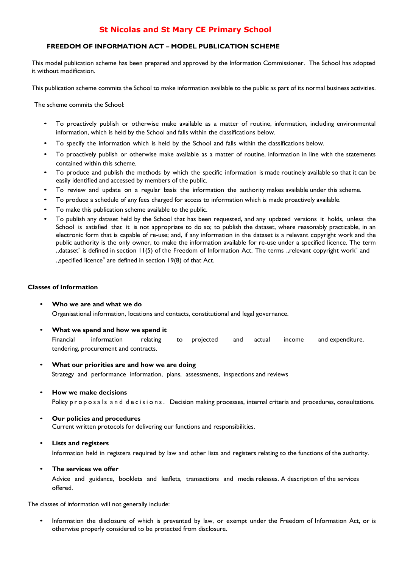## **St Nicolas and St Mary CE Primary School**

### **FREEDOM OF INFORMATION ACT – MODEL PUBLICATION SCHEME**

This model publication scheme has been prepared and approved by the Information Commissioner. The School has adopted it without modification.

This publication scheme commits the School to make information available to the public as part of its normal business activities.

The scheme commits the School:

- To proactively publish or otherwise make available as a matter of routine, information, including environmental information, which is held by the School and falls within the classifications below.
- To specify the information which is held by the School and falls within the classifications below.
- To proactively publish or otherwise make available as a matter of routine, information in line with the statements contained within this scheme.
- To produce and publish the methods by which the specific information is made routinely available so that it can be easily identified and accessed by members of the public.
- To review and update on a regular basis the information the authority makes available under this scheme.
- To produce a schedule of any fees charged for access to information which is made proactively available.
- To make this publication scheme available to the public.
- To publish any dataset held by the School that has been requested, and any updated versions it holds, unless the School is satisfied that it is not appropriate to do so; to publish the dataset, where reasonably practicable, in an electronic form that is capable of re-use; and, if any information in the dataset is a relevant copyright work and the public authority is the only owner, to make the information available for re-use under a specified licence. The term "dataset" is defined in section 11(5) of the Freedom of Information Act. The terms "relevant copyright work" and "specified licence" are defined in section 19(8) of that Act.

#### **Classes of Information**

- **Who we are and what we do** Organisational information, locations and contacts, constitutional and legal governance.
- **What we spend and how we spend it** Financial information relating to projected and actual income and expenditure, tendering, procurement and contracts.
- **What our priorities are and how we are doing** Strategy and performance information, plans, assessments, inspections and reviews
- **How we make decisions**

Policy proposals and decisions. Decision making processes, internal criteria and procedures, consultations.

#### • **Our policies and procedures** Current written protocols for delivering our functions and responsibilities.

#### • **Lists and registers**

Information held in registers required by law and other lists and registers relating to the functions of the authority.

• **The services we offer**

Advice and guidance, booklets and leaflets, transactions and media releases. A description of the services offered.

The classes of information will not generally include:

• Information the disclosure of which is prevented by law, or exempt under the Freedom of Information Act, or is otherwise properly considered to be protected from disclosure.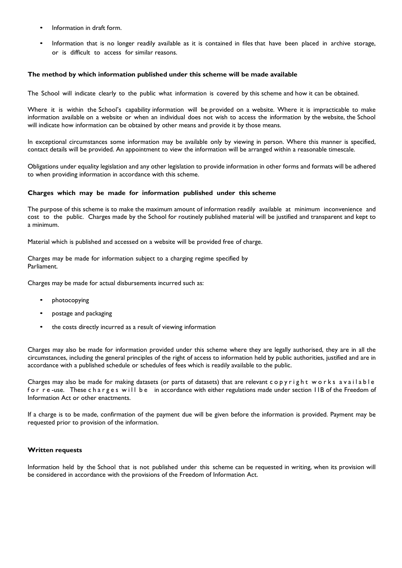- Information in draft form.
- Information that is no longer readily available as it is contained in files that have been placed in archive storage, or is difficult to access for similar reasons.

#### **The method by which information published under this scheme will be made available**

The School will indicate clearly to the public what information is covered by this scheme and how it can be obtained.

Where it is within the School's capability information will be provided on a website. Where it is impracticable to make information available on a website or when an individual does not wish to access the information by the website, the School will indicate how information can be obtained by other means and provide it by those means.

In exceptional circumstances some information may be available only by viewing in person. Where this manner is specified, contact details will be provided. An appointment to view the information will be arranged within a reasonable timescale.

Obligations under equality legislation and any other legislation to provide information in other forms and formats will be adhered to when providing information in accordance with this scheme.

#### **Charges which may be made for information published under this scheme**

The purpose of this scheme is to make the maximum amount of information readily available at minimum inconvenience and cost to the public. Charges made by the School for routinely published material will be justified and transparent and kept to a minimum.

Material which is published and accessed on a website will be provided free of charge.

Charges may be made for information subject to a charging regime specified by Parliament.

Charges may be made for actual disbursements incurred such as:

- photocopying
- postage and packaging
- the costs directly incurred as a result of viewing information

Charges may also be made for information provided under this scheme where they are legally authorised, they are in all the circumstances, including the general principles of the right of access to information held by public authorities, justified and are in accordance with a published schedule or schedules of fees which is readily available to the public.

Charges may also be made for making datasets (or parts of datasets) that are relevant copyright works available for re-use. These charges will be in accordance with either regulations made under section IIB of the Freedom of Information Act or other enactments.

If a charge is to be made, confirmation of the payment due will be given before the information is provided. Payment may be requested prior to provision of the information.

#### **Written requests**

Information held by the School that is not published under this scheme can be requested in writing, when its provision will be considered in accordance with the provisions of the Freedom of Information Act.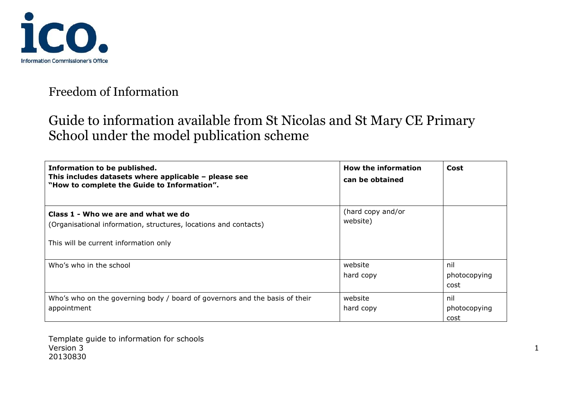

## Freedom of Information

# Guide to information available from St Nicolas and St Mary CE Primary School under the model publication scheme

| Information to be published.<br>This includes datasets where applicable - please see<br>"How to complete the Guide to Information".              | <b>How the information</b><br>can be obtained | Cost                        |
|--------------------------------------------------------------------------------------------------------------------------------------------------|-----------------------------------------------|-----------------------------|
| Class 1 - Who we are and what we do<br>(Organisational information, structures, locations and contacts)<br>This will be current information only | (hard copy and/or<br>website)                 |                             |
| Who's who in the school                                                                                                                          | website<br>hard copy                          | nil<br>photocopying<br>cost |
| Who's who on the governing body / board of governors and the basis of their<br>appointment                                                       | website<br>hard copy                          | nil<br>photocopying<br>cost |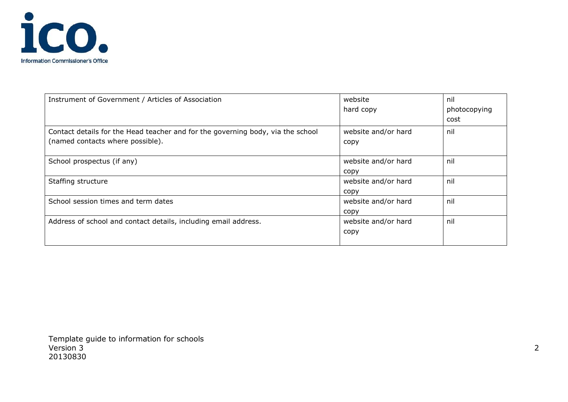

| Instrument of Government / Articles of Association                              | website             | nil          |
|---------------------------------------------------------------------------------|---------------------|--------------|
|                                                                                 | hard copy           | photocopying |
|                                                                                 |                     | cost         |
| Contact details for the Head teacher and for the governing body, via the school | website and/or hard | nil          |
| (named contacts where possible).                                                | copy                |              |
|                                                                                 |                     |              |
| School prospectus (if any)                                                      | website and/or hard | nil          |
|                                                                                 | copy                |              |
| Staffing structure                                                              | website and/or hard | nil          |
|                                                                                 | copy                |              |
| School session times and term dates                                             | website and/or hard | nil          |
|                                                                                 | copy                |              |
| Address of school and contact details, including email address.                 | website and/or hard | nil          |
|                                                                                 | copy                |              |
|                                                                                 |                     |              |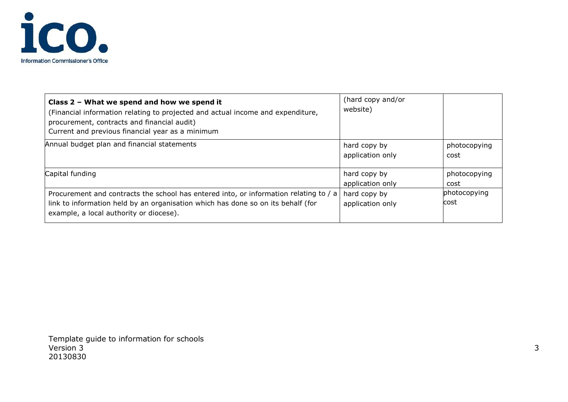

| Class 2 - What we spend and how we spend it<br>(Financial information relating to projected and actual income and expenditure,<br>procurement, contracts and financial audit)<br>Current and previous financial year as a minimum | (hard copy and/or<br>website)    |                             |
|-----------------------------------------------------------------------------------------------------------------------------------------------------------------------------------------------------------------------------------|----------------------------------|-----------------------------|
| Annual budget plan and financial statements                                                                                                                                                                                       | hard copy by<br>application only | photocopying<br>cost        |
| Capital funding                                                                                                                                                                                                                   | hard copy by<br>application only | photocopying<br>cost        |
| Procurement and contracts the school has entered into, or information relating to / a<br>link to information held by an organisation which has done so on its behalf (for<br>example, a local authority or diocese).              | hard copy by<br>application only | photocopying<br><b>cost</b> |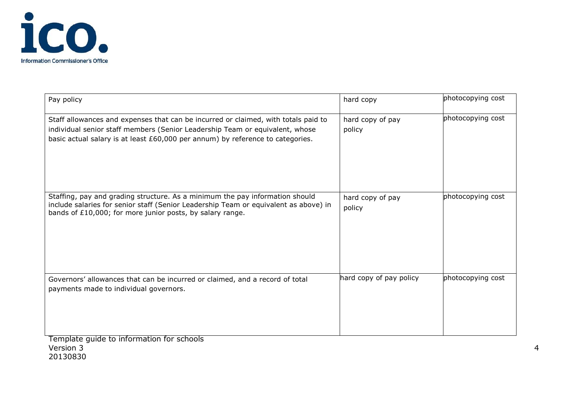

20130830

| Pay policy                                                                                                                                                                                                                                           | hard copy                  | photocopying cost |
|------------------------------------------------------------------------------------------------------------------------------------------------------------------------------------------------------------------------------------------------------|----------------------------|-------------------|
| Staff allowances and expenses that can be incurred or claimed, with totals paid to<br>individual senior staff members (Senior Leadership Team or equivalent, whose<br>basic actual salary is at least £60,000 per annum) by reference to categories. | hard copy of pay<br>policy | photocopying cost |
| Staffing, pay and grading structure. As a minimum the pay information should<br>include salaries for senior staff (Senior Leadership Team or equivalent as above) in<br>bands of £10,000; for more junior posts, by salary range.                    | hard copy of pay<br>policy | photocopying cost |
| Governors' allowances that can be incurred or claimed, and a record of total<br>payments made to individual governors.                                                                                                                               | hard copy of pay policy    | photocopying cost |
| Template guide to information for schools<br>Version 3                                                                                                                                                                                               |                            |                   |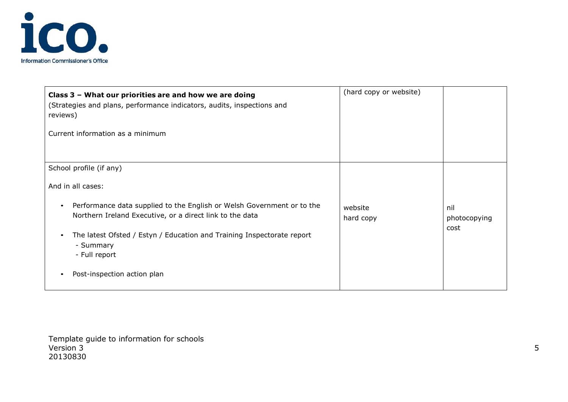

| Class 3 - What our priorities are and how we are doing<br>(Strategies and plans, performance indicators, audits, inspections and<br>reviews)<br>Current information as a minimum | (hard copy or website) |                             |
|----------------------------------------------------------------------------------------------------------------------------------------------------------------------------------|------------------------|-----------------------------|
| School profile (if any)                                                                                                                                                          |                        |                             |
| And in all cases:                                                                                                                                                                |                        |                             |
| Performance data supplied to the English or Welsh Government or to the<br>Northern Ireland Executive, or a direct link to the data                                               | website<br>hard copy   | nil<br>photocopying<br>cost |
| The latest Ofsted / Estyn / Education and Training Inspectorate report<br>- Summary<br>- Full report                                                                             |                        |                             |
| Post-inspection action plan                                                                                                                                                      |                        |                             |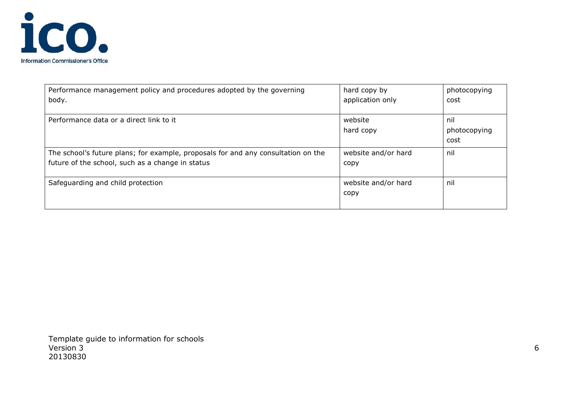

| Performance management policy and procedures adopted by the governing<br>body.    | hard copy by<br>application only | photocopying<br>cost |
|-----------------------------------------------------------------------------------|----------------------------------|----------------------|
|                                                                                   |                                  |                      |
| Performance data or a direct link to it                                           | website                          | nil                  |
|                                                                                   | hard copy                        | photocopying         |
|                                                                                   |                                  | cost                 |
| The school's future plans; for example, proposals for and any consultation on the | website and/or hard              | nil                  |
| future of the school, such as a change in status                                  | copy                             |                      |
|                                                                                   |                                  |                      |
| Safeguarding and child protection                                                 | website and/or hard              | nil                  |
|                                                                                   | copy                             |                      |
|                                                                                   |                                  |                      |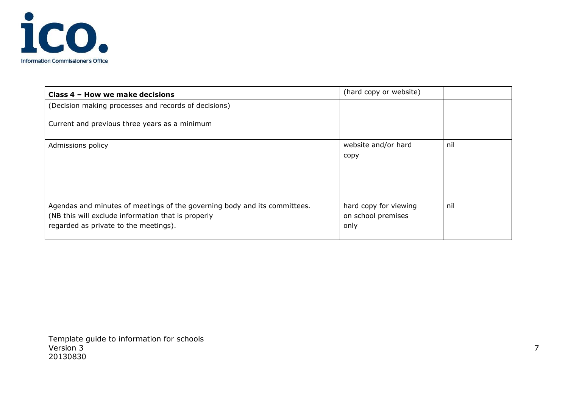

| Class 4 - How we make decisions                                                                                                                                          | (hard copy or website)                              |     |
|--------------------------------------------------------------------------------------------------------------------------------------------------------------------------|-----------------------------------------------------|-----|
| (Decision making processes and records of decisions)                                                                                                                     |                                                     |     |
| Current and previous three years as a minimum                                                                                                                            |                                                     |     |
| Admissions policy                                                                                                                                                        | website and/or hard<br>copy                         | nil |
| Agendas and minutes of meetings of the governing body and its committees.<br>(NB this will exclude information that is properly<br>regarded as private to the meetings). | hard copy for viewing<br>on school premises<br>only | nil |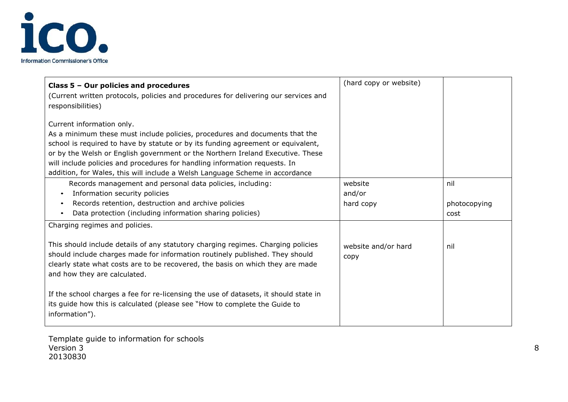

| Class 5 - Our policies and procedures                                                                                                                                                                                                                                                                                                                                                                                                        | (hard copy or website)      |                      |
|----------------------------------------------------------------------------------------------------------------------------------------------------------------------------------------------------------------------------------------------------------------------------------------------------------------------------------------------------------------------------------------------------------------------------------------------|-----------------------------|----------------------|
| (Current written protocols, policies and procedures for delivering our services and<br>responsibilities)                                                                                                                                                                                                                                                                                                                                     |                             |                      |
| Current information only.<br>As a minimum these must include policies, procedures and documents that the<br>school is required to have by statute or by its funding agreement or equivalent,<br>or by the Welsh or English government or the Northern Ireland Executive. These<br>will include policies and procedures for handling information requests. In<br>addition, for Wales, this will include a Welsh Language Scheme in accordance |                             |                      |
| Records management and personal data policies, including:                                                                                                                                                                                                                                                                                                                                                                                    | website                     | nil                  |
| Information security policies<br>$\bullet$<br>Records retention, destruction and archive policies<br>$\bullet$<br>Data protection (including information sharing policies)                                                                                                                                                                                                                                                                   | and/or<br>hard copy         | photocopying<br>cost |
| Charging regimes and policies.                                                                                                                                                                                                                                                                                                                                                                                                               |                             |                      |
| This should include details of any statutory charging regimes. Charging policies<br>should include charges made for information routinely published. They should<br>clearly state what costs are to be recovered, the basis on which they are made<br>and how they are calculated.                                                                                                                                                           | website and/or hard<br>copy | nil                  |
| If the school charges a fee for re-licensing the use of datasets, it should state in<br>its guide how this is calculated (please see "How to complete the Guide to<br>information").                                                                                                                                                                                                                                                         |                             |                      |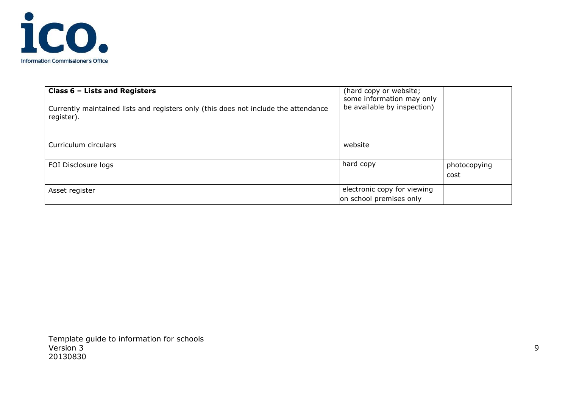

| Class $6$ – Lists and Registers<br>Currently maintained lists and registers only (this does not include the attendance<br>register). | (hard copy or website;<br>some information may only<br>be available by inspection) |                      |
|--------------------------------------------------------------------------------------------------------------------------------------|------------------------------------------------------------------------------------|----------------------|
| Curriculum circulars                                                                                                                 | website                                                                            |                      |
| FOI Disclosure logs                                                                                                                  | hard copy                                                                          | photocopying<br>cost |
| Asset register                                                                                                                       | electronic copy for viewing<br>on school premises only                             |                      |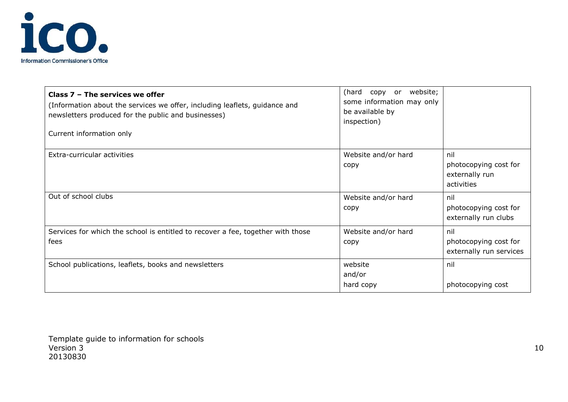

| Class $7$ – The services we offer<br>(Information about the services we offer, including leaflets, guidance and<br>newsletters produced for the public and businesses)<br>Current information only | website;<br>(hard<br>copy or<br>some information may only<br>be available by<br>inspection) |                                                              |
|----------------------------------------------------------------------------------------------------------------------------------------------------------------------------------------------------|---------------------------------------------------------------------------------------------|--------------------------------------------------------------|
| Extra-curricular activities                                                                                                                                                                        | Website and/or hard<br>copy                                                                 | nil<br>photocopying cost for<br>externally run<br>activities |
| Out of school clubs                                                                                                                                                                                | Website and/or hard<br>copy                                                                 | nil<br>photocopying cost for<br>externally run clubs         |
| Services for which the school is entitled to recover a fee, together with those<br>fees                                                                                                            | Website and/or hard<br>copy                                                                 | nil<br>photocopying cost for<br>externally run services      |
| School publications, leaflets, books and newsletters                                                                                                                                               | website<br>and/or<br>hard copy                                                              | nil<br>photocopying cost                                     |